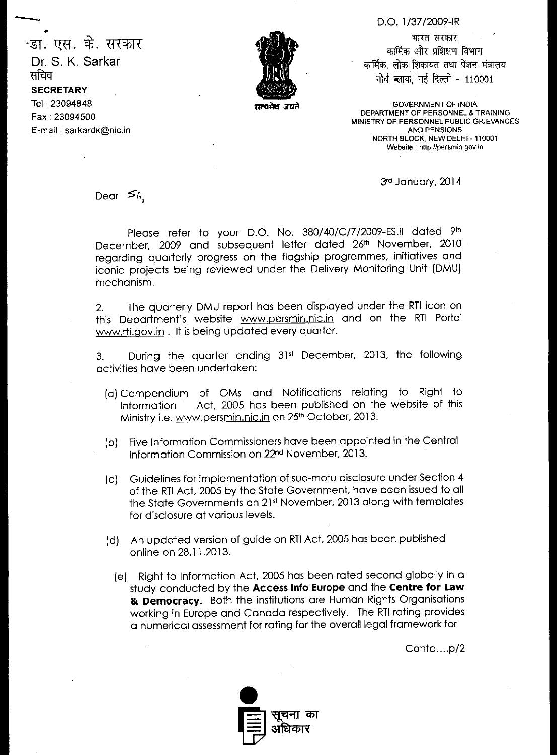## D.O. 1/37/2009-IR

भारत सरकार कार्मिक और प्रशिक्षण विभाग कार्मिक, लोक शिकायत तथा पेंशन मंत्रालय नोर्थ ब्लाक, नई दिल्ली - 110001

**GOVERNMENT OF INDIA** DEPARTMENT OF PERSONNEL & TRAINING MINISTRY OF PERSONNEL PUBLIC GRIEVANCES AND PENSIONS NORTH BLOCK NEW DELHI - 110001 Website : http://persmin.gov.in

3rd January, 2014

Dear *≶i*i,

Please refer to your D.O. No. 380/40/C/7/2009-ES.II dated 9th December, 2009 and subsequent letter dated 26th November, 2010 regarding quarterly progress on the flagship programmes, initiatives and iconic projects being reviewed under the Delivery Monitoring Unit (DMU) mechanism.

2. The quarterly DMU report has been displayed under the RTI Icon on this Department's website www.persmin.nic.in and on the RTI Portal www.rti.aov.in . It is being updated every quarter.

3. During the quarter ending 31st December, 2013, the following activities have been undertaken:

- (a) Compendium of OMs and Notifications relating to Right to Information Act, 2005 has been published on the website of this Ministry i.e. www.persmin.nic.in on 25<sup>th</sup> October, 2013.
- (b) Five Information Commissioners have been appointed in the Central Information Commission on 22nd November, 2013.
- (c) Guidelines for implementation of suo-motu disclosure under Section 4 of the RTI Act, 2005 by the State Government, have been issued to all the State Governments on 21st November, 2013 along with templates for disclosure at various levels.
- (d) An updated version of guide on RTI Act, 2005 has been published online on 28.11.2013.
	- (e) Right to Information Act, 2005 has been rated second globally in a study conducted by the **Access Info Europe** and the **Centre for Law & Democracy.** Both the institutions are Human Rights Organisations working in Europe and Canada respectively. The RTI rating provides a numerical assessment for rating for the overall legal framework for

Contd....p/2





<sup>.</sup>डा. एस. के. सरकार Dr. S. K. Sarkar सचिव **SECRETARY**  Tel : 23094848 Fax : 23094500 E-mail : sarkardk@nic.in